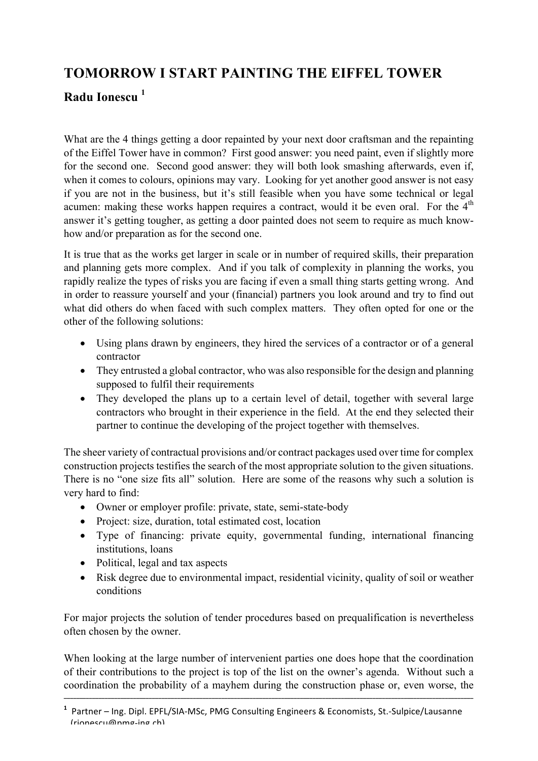## **TOMORROW I START PAINTING THE EIFFEL TOWER**

## **Radu Ionescu <sup>1</sup>**

What are the 4 things getting a door repainted by your next door craftsman and the repainting of the Eiffel Tower have in common? First good answer: you need paint, even if slightly more for the second one. Second good answer: they will both look smashing afterwards, even if, when it comes to colours, opinions may vary. Looking for yet another good answer is not easy if you are not in the business, but it's still feasible when you have some technical or legal acumen: making these works happen requires a contract, would it be even oral. For the  $4<sup>th</sup>$ answer it's getting tougher, as getting a door painted does not seem to require as much knowhow and/or preparation as for the second one.

It is true that as the works get larger in scale or in number of required skills, their preparation and planning gets more complex. And if you talk of complexity in planning the works, you rapidly realize the types of risks you are facing if even a small thing starts getting wrong. And in order to reassure yourself and your (financial) partners you look around and try to find out what did others do when faced with such complex matters. They often opted for one or the other of the following solutions:

- Using plans drawn by engineers, they hired the services of a contractor or of a general contractor
- They entrusted a global contractor, who was also responsible for the design and planning supposed to fulfil their requirements
- They developed the plans up to a certain level of detail, together with several large contractors who brought in their experience in the field. At the end they selected their partner to continue the developing of the project together with themselves.

The sheer variety of contractual provisions and/or contract packages used over time for complex construction projects testifies the search of the most appropriate solution to the given situations. There is no "one size fits all" solution. Here are some of the reasons why such a solution is very hard to find:

- Owner or employer profile: private, state, semi-state-body
- Project: size, duration, total estimated cost, location
- Type of financing: private equity, governmental funding, international financing institutions, loans
- Political, legal and tax aspects
- Risk degree due to environmental impact, residential vicinity, quality of soil or weather conditions

For major projects the solution of tender procedures based on prequalification is nevertheless often chosen by the owner.

When looking at the large number of intervenient parties one does hope that the coordination of their contributions to the project is top of the list on the owner's agenda. Without such a coordination the probability of a mayhem during the construction phase or, even worse, the

**\_\_\_\_\_\_\_\_\_\_\_\_\_\_\_\_\_\_\_\_\_\_\_\_\_\_\_\_\_\_\_\_\_\_\_\_\_\_\_\_\_\_\_\_\_\_\_\_\_\_\_\_\_\_\_\_\_\_\_\_\_\_\_\_\_\_\_\_\_\_\_\_\_\_\_\_\_\_\_\_\_\_\_\_\_\_\_\_\_\_\_\_\_\_\_\_\_\_\_\_\_\_\_\_\_\_\_\_\_\_\_\_\_\_\_\_\_\_\_\_\_\_\_\_\_\_\_\_\_\_**

<sup>&</sup>lt;sup>1</sup> Partner – Ing. Dipl. EPFL/SIA-MSc, PMG Consulting Engineers & Economists, St.-Sulpice/Lausanne (rionescu@pmg-ing.ch)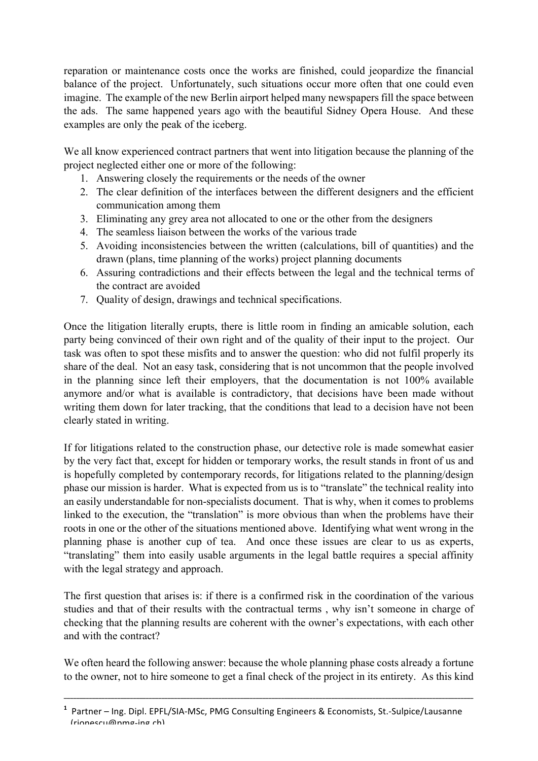reparation or maintenance costs once the works are finished, could jeopardize the financial balance of the project. Unfortunately, such situations occur more often that one could even imagine. The example of the new Berlin airport helped many newspapers fill the space between the ads. The same happened years ago with the beautiful Sidney Opera House. And these examples are only the peak of the iceberg.

We all know experienced contract partners that went into litigation because the planning of the project neglected either one or more of the following:

- 1. Answering closely the requirements or the needs of the owner
- 2. The clear definition of the interfaces between the different designers and the efficient communication among them
- 3. Eliminating any grey area not allocated to one or the other from the designers
- 4. The seamless liaison between the works of the various trade
- 5. Avoiding inconsistencies between the written (calculations, bill of quantities) and the drawn (plans, time planning of the works) project planning documents
- 6. Assuring contradictions and their effects between the legal and the technical terms of the contract are avoided
- 7. Quality of design, drawings and technical specifications.

Once the litigation literally erupts, there is little room in finding an amicable solution, each party being convinced of their own right and of the quality of their input to the project. Our task was often to spot these misfits and to answer the question: who did not fulfil properly its share of the deal. Not an easy task, considering that is not uncommon that the people involved in the planning since left their employers, that the documentation is not 100% available anymore and/or what is available is contradictory, that decisions have been made without writing them down for later tracking, that the conditions that lead to a decision have not been clearly stated in writing.

If for litigations related to the construction phase, our detective role is made somewhat easier by the very fact that, except for hidden or temporary works, the result stands in front of us and is hopefully completed by contemporary records, for litigations related to the planning/design phase our mission is harder. What is expected from us is to "translate" the technical reality into an easily understandable for non-specialists document. That is why, when it comes to problems linked to the execution, the "translation" is more obvious than when the problems have their roots in one or the other of the situations mentioned above. Identifying what went wrong in the planning phase is another cup of tea. And once these issues are clear to us as experts, "translating" them into easily usable arguments in the legal battle requires a special affinity with the legal strategy and approach.

The first question that arises is: if there is a confirmed risk in the coordination of the various studies and that of their results with the contractual terms , why isn't someone in charge of checking that the planning results are coherent with the owner's expectations, with each other and with the contract?

We often heard the following answer: because the whole planning phase costs already a fortune to the owner, not to hire someone to get a final check of the project in its entirety. As this kind

**\_\_\_\_\_\_\_\_\_\_\_\_\_\_\_\_\_\_\_\_\_\_\_\_\_\_\_\_\_\_\_\_\_\_\_\_\_\_\_\_\_\_\_\_\_\_\_\_\_\_\_\_\_\_\_\_\_\_\_\_\_\_\_\_\_\_\_\_\_\_\_\_\_\_\_\_\_\_\_\_\_\_\_\_\_\_\_\_\_\_\_\_\_\_\_\_\_\_\_\_\_\_\_\_\_\_\_\_\_\_\_\_\_\_\_\_\_\_\_\_\_\_\_\_\_\_\_\_\_\_**

<sup>&</sup>lt;sup>1</sup> Partner – Ing. Dipl. EPFL/SIA-MSc, PMG Consulting Engineers & Economists, St.-Sulpice/Lausanne  $(rinnacru/anma-ina.$ ch)